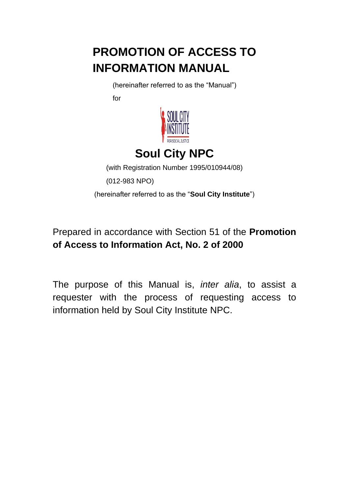# **PROMOTION OF ACCESS TO INFORMATION MANUAL**

(hereinafter referred to as the "Manual")

for



# **Soul City NPC**

(with Registration Number 1995/010944/08)

(012-983 NPO)

(hereinafter referred to as the "**Soul City Institute**")

# Prepared in accordance with Section 51 of the **Promotion of Access to Information Act, No. 2 of 2000**

The purpose of this Manual is, *inter alia*, to assist a requester with the process of requesting access to information held by Soul City Institute NPC.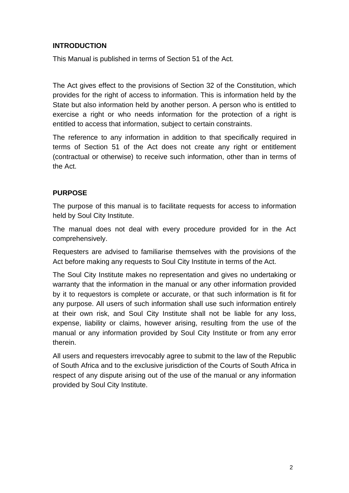### **INTRODUCTION**

This Manual is published in terms of Section 51 of the Act.

The Act gives effect to the provisions of Section 32 of the Constitution, which provides for the right of access to information. This is information held by the State but also information held by another person. A person who is entitled to exercise a right or who needs information for the protection of a right is entitled to access that information, subject to certain constraints.

The reference to any information in addition to that specifically required in terms of Section 51 of the Act does not create any right or entitlement (contractual or otherwise) to receive such information, other than in terms of the Act.

#### **PURPOSE**

The purpose of this manual is to facilitate requests for access to information held by Soul City Institute.

The manual does not deal with every procedure provided for in the Act comprehensively.

Requesters are advised to familiarise themselves with the provisions of the Act before making any requests to Soul City Institute in terms of the Act.

The Soul City Institute makes no representation and gives no undertaking or warranty that the information in the manual or any other information provided by it to requestors is complete or accurate, or that such information is fit for any purpose. All users of such information shall use such information entirely at their own risk, and Soul City Institute shall not be liable for any loss, expense, liability or claims, however arising, resulting from the use of the manual or any information provided by Soul City Institute or from any error therein.

All users and requesters irrevocably agree to submit to the law of the Republic of South Africa and to the exclusive jurisdiction of the Courts of South Africa in respect of any dispute arising out of the use of the manual or any information provided by Soul City Institute.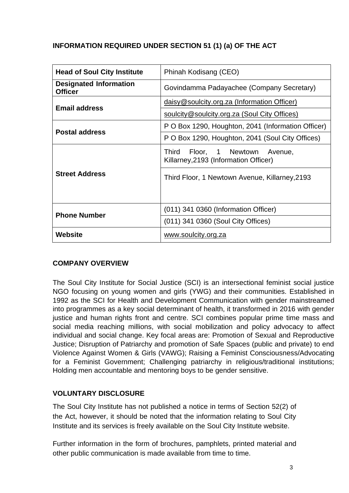## **INFORMATION REQUIRED UNDER SECTION 51 (1) (a) OF THE ACT**

| <b>Head of Soul City Institute</b>              | Phinah Kodisang (CEO)                                                             |  |  |
|-------------------------------------------------|-----------------------------------------------------------------------------------|--|--|
| <b>Designated Information</b><br><b>Officer</b> | Govindamma Padayachee (Company Secretary)                                         |  |  |
| <b>Email address</b>                            | daisy@soulcity.org.za (Information Officer)                                       |  |  |
|                                                 | soulcity@soulcity.org.za (Soul City Offices)                                      |  |  |
|                                                 | P O Box 1290, Houghton, 2041 (Information Officer)                                |  |  |
| <b>Postal address</b>                           | P O Box 1290, Houghton, 2041 (Soul City Offices)                                  |  |  |
|                                                 | <b>Third</b><br>Floor, 1 Newtown Avenue,<br>Killarney, 2193 (Information Officer) |  |  |
| <b>Street Address</b>                           | Third Floor, 1 Newtown Avenue, Killarney, 2193                                    |  |  |
|                                                 | (011) 341 0360 (Information Officer)                                              |  |  |
| <b>Phone Number</b>                             | (011) 341 0360 (Soul City Offices)                                                |  |  |
| Website                                         | www.soulcity.org.za                                                               |  |  |

#### **COMPANY OVERVIEW**

The Soul City Institute for Social Justice (SCI) is an intersectional feminist social justice NGO focusing on young women and girls (YWG) and their communities. Established in 1992 as the SCI for Health and Development Communication with gender mainstreamed into programmes as a key social determinant of health, it transformed in 2016 with gender justice and human rights front and centre. SCI combines popular prime time mass and social media reaching millions, with social mobilization and policy advocacy to affect individual and social change. Key focal areas are: Promotion of Sexual and Reproductive Justice; Disruption of Patriarchy and promotion of Safe Spaces (public and private) to end Violence Against Women & Girls (VAWG); Raising a Feminist Consciousness/Advocating for a Feminist Government; Challenging patriarchy in religious/traditional institutions; Holding men accountable and mentoring boys to be gender sensitive.

#### **VOLUNTARY DISCLOSURE**

The Soul City Institute has not published a notice in terms of Section 52(2) of the Act, however, it should be noted that the information relating to Soul City Institute and its services is freely available on the Soul City Institute website.

Further information in the form of brochures, pamphlets, printed material and other public communication is made available from time to time.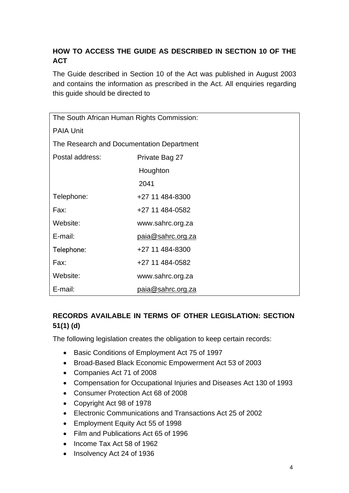## **HOW TO ACCESS THE GUIDE AS DESCRIBED IN SECTION 10 OF THE ACT**

The Guide described in Section 10 of the Act was published in August 2003 and contains the information as prescribed in the Act. All enquiries regarding this guide should be directed to

| The South African Human Rights Commission: |                   |  |  |  |
|--------------------------------------------|-------------------|--|--|--|
| <b>PAIA Unit</b>                           |                   |  |  |  |
| The Research and Documentation Department  |                   |  |  |  |
| Postal address:                            | Private Bag 27    |  |  |  |
|                                            | Houghton          |  |  |  |
|                                            | 2041              |  |  |  |
| Telephone:                                 | +27 11 484-8300   |  |  |  |
| Fax:                                       | +27 11 484-0582   |  |  |  |
| Website:                                   | www.sahrc.org.za  |  |  |  |
| E-mail:                                    | paia@sahrc.org.za |  |  |  |
| Telephone:                                 | +27 11 484-8300   |  |  |  |
| Fax:                                       | +27 11 484-0582   |  |  |  |
| Website:                                   | www.sahrc.org.za  |  |  |  |
| E-mail:                                    | paia@sahrc.org.za |  |  |  |

## **RECORDS AVAILABLE IN TERMS OF OTHER LEGISLATION: SECTION 51(1) (d)**

The following legislation creates the obligation to keep certain records:

- Basic Conditions of Employment Act 75 of 1997
- Broad-Based Black Economic Empowerment Act 53 of 2003
- Companies Act 71 of 2008
- Compensation for Occupational Injuries and Diseases Act 130 of 1993
- Consumer Protection Act 68 of 2008
- Copyright Act 98 of 1978
- Electronic Communications and Transactions Act 25 of 2002
- Employment Equity Act 55 of 1998
- Film and Publications Act 65 of 1996
- Income Tax Act 58 of 1962
- Insolvency Act 24 of 1936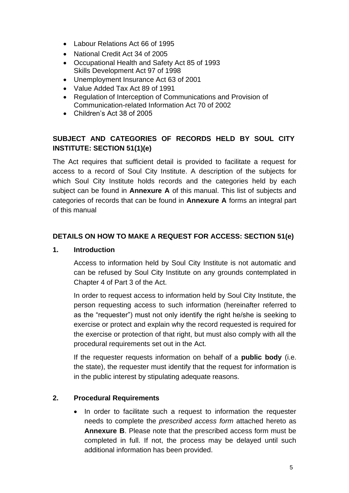- Labour Relations Act 66 of 1995
- National Credit Act 34 of 2005
- Occupational Health and Safety Act 85 of 1993 Skills Development Act 97 of 1998
- Unemployment Insurance Act 63 of 2001
- Value Added Tax Act 89 of 1991
- Regulation of Interception of Communications and Provision of Communication-related Information Act 70 of 2002
- Children's Act 38 of 2005

## **SUBJECT AND CATEGORIES OF RECORDS HELD BY SOUL CITY INSTITUTE: SECTION 51(1)(e)**

The Act requires that sufficient detail is provided to facilitate a request for access to a record of Soul City Institute. A description of the subjects for which Soul City Institute holds records and the categories held by each subject can be found in **Annexure A** of this manual. This list of subjects and categories of records that can be found in **Annexure A** forms an integral part of this manual

#### **DETAILS ON HOW TO MAKE A REQUEST FOR ACCESS: SECTION 51(e)**

#### **1. Introduction**

Access to information held by Soul City Institute is not automatic and can be refused by Soul City Institute on any grounds contemplated in Chapter 4 of Part 3 of the Act.

In order to request access to information held by Soul City Institute, the person requesting access to such information (hereinafter referred to as the "requester") must not only identify the right he/she is seeking to exercise or protect and explain why the record requested is required for the exercise or protection of that right, but must also comply with all the procedural requirements set out in the Act.

If the requester requests information on behalf of a **public body** (i.e. the state), the requester must identify that the request for information is in the public interest by stipulating adequate reasons.

#### **2. Procedural Requirements**

• In order to facilitate such a request to information the requester needs to complete the *prescribed access form* attached hereto as **Annexure B**. Please note that the prescribed access form must be completed in full. If not, the process may be delayed until such additional information has been provided.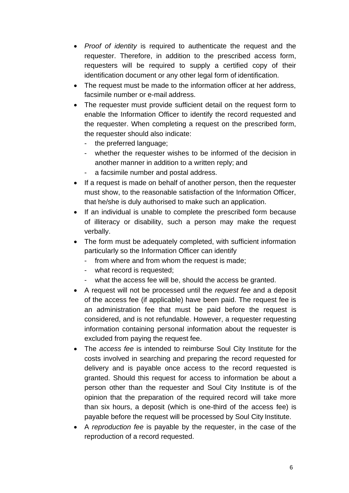- *Proof of identity* is required to authenticate the request and the requester. Therefore, in addition to the prescribed access form, requesters will be required to supply a certified copy of their identification document or any other legal form of identification.
- The request must be made to the information officer at her address, facsimile number or e-mail address.
- The requester must provide sufficient detail on the request form to enable the Information Officer to identify the record requested and the requester. When completing a request on the prescribed form, the requester should also indicate:
	- the preferred language;
	- whether the requester wishes to be informed of the decision in another manner in addition to a written reply; and
	- a facsimile number and postal address.
- If a request is made on behalf of another person, then the requester must show, to the reasonable satisfaction of the Information Officer, that he/she is duly authorised to make such an application.
- If an individual is unable to complete the prescribed form because of illiteracy or disability, such a person may make the request verbally.
- The form must be adequately completed, with sufficient information particularly so the Information Officer can identify
	- from where and from whom the request is made;
	- what record is requested;
	- what the access fee will be, should the access be granted.
- A request will not be processed until the *request fee* and a deposit of the access fee (if applicable) have been paid. The request fee is an administration fee that must be paid before the request is considered, and is not refundable. However, a requester requesting information containing personal information about the requester is excluded from paying the request fee.
- The *access fee* is intended to reimburse Soul City Institute for the costs involved in searching and preparing the record requested for delivery and is payable once access to the record requested is granted. Should this request for access to information be about a person other than the requester and Soul City Institute is of the opinion that the preparation of the required record will take more than six hours, a deposit (which is one-third of the access fee) is payable before the request will be processed by Soul City Institute.
- A *reproduction fee* is payable by the requester, in the case of the reproduction of a record requested.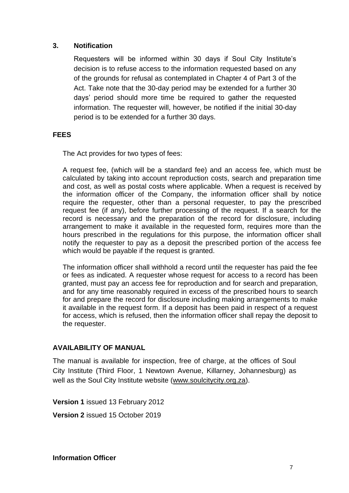#### **3. Notification**

Requesters will be informed within 30 days if Soul City Institute's decision is to refuse access to the information requested based on any of the grounds for refusal as contemplated in Chapter 4 of Part 3 of the Act. Take note that the 30-day period may be extended for a further 30 days' period should more time be required to gather the requested information. The requester will, however, be notified if the initial 30-day period is to be extended for a further 30 days.

#### **FEES**

The Act provides for two types of fees:

A request fee, (which will be a standard fee) and an access fee, which must be calculated by taking into account reproduction costs, search and preparation time and cost, as well as postal costs where applicable. When a request is received by the information officer of the Company, the information officer shall by notice require the requester, other than a personal requester, to pay the prescribed request fee (if any), before further processing of the request. If a search for the record is necessary and the preparation of the record for disclosure, including arrangement to make it available in the requested form, requires more than the hours prescribed in the regulations for this purpose, the information officer shall notify the requester to pay as a deposit the prescribed portion of the access fee which would be payable if the request is granted.

The information officer shall withhold a record until the requester has paid the fee or fees as indicated. A requester whose request for access to a record has been granted, must pay an access fee for reproduction and for search and preparation, and for any time reasonably required in excess of the prescribed hours to search for and prepare the record for disclosure including making arrangements to make it available in the request form. If a deposit has been paid in respect of a request for access, which is refused, then the information officer shall repay the deposit to the requester.

#### **AVAILABILITY OF MANUAL**

The manual is available for inspection, free of charge, at the offices of Soul City Institute (Third Floor, 1 Newtown Avenue, Killarney, Johannesburg) as well as the Soul City Institute website (www.soulcity.org.za).

**Version 1** issued 13 February 2012 **Version 2** issued 15 October 2019

**Information Officer**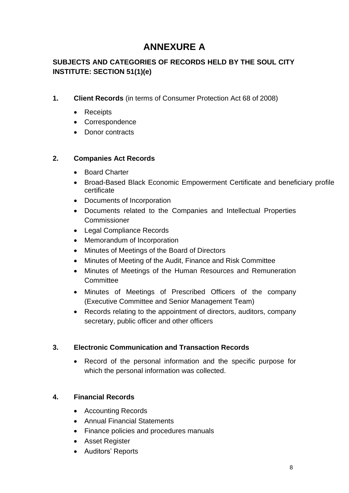## **ANNEXURE A**

## **SUBJECTS AND CATEGORIES OF RECORDS HELD BY THE SOUL CITY INSTITUTE: SECTION 51(1)(e)**

- **1. Client Records** (in terms of Consumer Protection Act 68 of 2008)
	- Receipts
	- Correspondence
	- Donor contracts

### **2. Companies Act Records**

- Board Charter
- Broad-Based Black Economic Empowerment Certificate and beneficiary profile certificate
- Documents of Incorporation
- Documents related to the Companies and Intellectual Properties **Commissioner**
- Legal Compliance Records
- Memorandum of Incorporation
- Minutes of Meetings of the Board of Directors
- Minutes of Meeting of the Audit, Finance and Risk Committee
- Minutes of Meetings of the Human Resources and Remuneration **Committee**
- Minutes of Meetings of Prescribed Officers of the company (Executive Committee and Senior Management Team)
- Records relating to the appointment of directors, auditors, company secretary, public officer and other officers

## **3. Electronic Communication and Transaction Records**

• Record of the personal information and the specific purpose for which the personal information was collected.

## **4. Financial Records**

- Accounting Records
- Annual Financial Statements
- Finance policies and procedures manuals
- Asset Register
- Auditors' Reports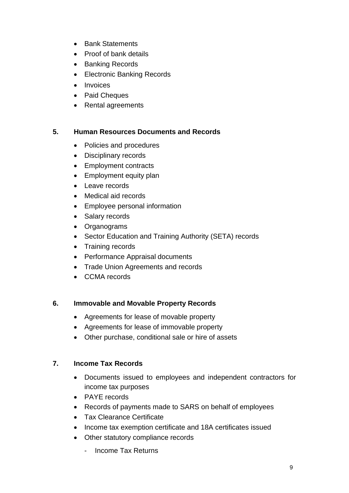- Bank Statements
- Proof of bank details
- Banking Records
- Electronic Banking Records
- Invoices
- Paid Cheques
- Rental agreements

#### **5. Human Resources Documents and Records**

- Policies and procedures
- Disciplinary records
- Employment contracts
- Employment equity plan
- Leave records
- Medical aid records
- Employee personal information
- Salary records
- Organograms
- Sector Education and Training Authority (SETA) records
- Training records
- Performance Appraisal documents
- Trade Union Agreements and records
- CCMA records

#### **6. Immovable and Movable Property Records**

- Agreements for lease of movable property
- Agreements for lease of immovable property
- Other purchase, conditional sale or hire of assets

#### **7. Income Tax Records**

- Documents issued to employees and independent contractors for income tax purposes
- PAYE records
- Records of payments made to SARS on behalf of employees
- Tax Clearance Certificate
- Income tax exemption certificate and 18A certificates issued
- Other statutory compliance records
	- Income Tax Returns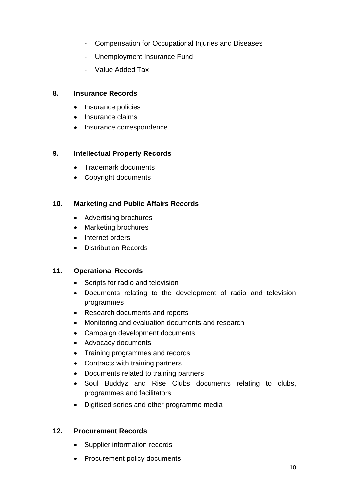- Compensation for Occupational Injuries and Diseases
- Unemployment Insurance Fund
- Value Added Tax

#### **8. Insurance Records**

- Insurance policies
- Insurance claims
- Insurance correspondence

### **9. Intellectual Property Records**

- Trademark documents
- Copyright documents

### **10. Marketing and Public Affairs Records**

- Advertising brochures
- Marketing brochures
- Internet orders
- Distribution Records

#### **11. Operational Records**

- Scripts for radio and television
- Documents relating to the development of radio and television programmes
- Research documents and reports
- Monitoring and evaluation documents and research
- Campaign development documents
- Advocacy documents
- Training programmes and records
- Contracts with training partners
- Documents related to training partners
- Soul Buddyz and Rise Clubs documents relating to clubs, programmes and facilitators
- Digitised series and other programme media

#### **12. Procurement Records**

- Supplier information records
- Procurement policy documents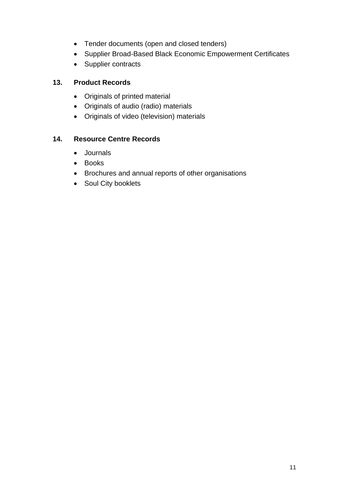- Tender documents (open and closed tenders)
- Supplier Broad-Based Black Economic Empowerment Certificates
- Supplier contracts

### **13. Product Records**

- Originals of printed material
- Originals of audio (radio) materials
- Originals of video (television) materials

### **14. Resource Centre Records**

- Journals
- Books
- Brochures and annual reports of other organisations
- Soul City booklets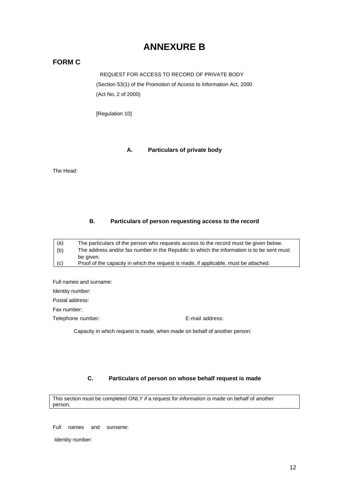## **ANNEXURE B**

#### **FORM C**

REQUEST FOR ACCESS TO RECORD OF PRIVATE BODY (Section 53(1) of the Promotion of Access to Information Act, 2000 (Act No. 2 of 2000)

[Regulation 10]

#### **A. Particulars of private body**

The Head:

#### **B. Particulars of person requesting access to the record**

The particulars of the person who requests access to the record must be given below. The address and/or fax number in the Republic to which the information is to be sent must be given. Proof of the capacity in which the request is made, if applicable, must be attached. (a) (b) (c)

Full names and surname: Identity number: Postal address: Fax number: Telephone number: Telephone number: E-mail address:

Capacity in which request is made, when made on behalf of another person:

#### **C. Particulars of person on whose behalf request is made**

This section must be completed *ONLY if* a request *for information is* made on behalf of *another* person.

Full names and surname:

Identity number: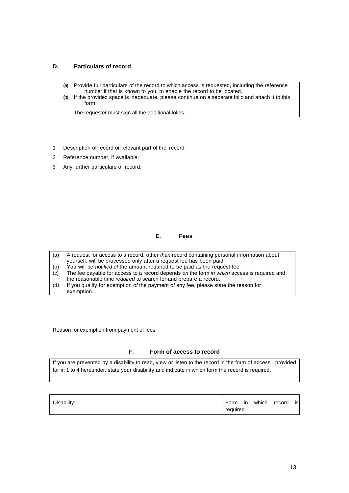#### **D. Particulars of record**

- (a) Provide full particulars of the record to which access is requested, including the reference number if that is known to you, to enable the record to be located.
- (b) If the provided space is inadequate, please continue on a separate folio and attach it to this form.

The requester must sign all the additional folios.

- 1 Description of record or relevant part of the record:
- 2 Reference number, if available:
- 3 Any further particulars of record:

#### **E. Fees**

- (a) A request for access to a record, other *than* record containing personal information about yourself, will be processed only after a request fee has been paid.
- (b) You will be *notified of* the amount required to be paid as the request fee.
- (c) The fee payable for access to a record depends *on* the form *in which* access is required and the reasonable time *required* to search for and prepare a record.
- (d) If you qualify for exemption *of* the payment *of* any fee, please state the reason for exemption.

Reason for exemption from payment of fees:

#### **F. Form of access to record**

If you are prevented by a disability to read, view or listen to the record in the form of access provided for in 1 to 4 hereunder, state your disability and indicate in which form the record is required.

| Disability: | Form in  |  | which record | isl |
|-------------|----------|--|--------------|-----|
|             | required |  |              |     |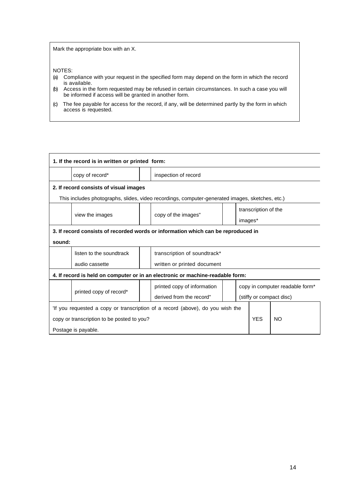Mark the appropriate box with an X.

NOTES:

- (a) Compliance with your request in the specified form may depend on the form in which the record is available.
- (b) Access in the form requested may be refused in certain circumstances. In such a case you will be informed if access will be granted in another form.
- (c) The fee payable for access for the record, if any, will be determined partly by the form in which access is requested.

| 1. If the record is in written or printed form:                                   |                          |  |                                                                                                 |                          |                                 |  |  |
|-----------------------------------------------------------------------------------|--------------------------|--|-------------------------------------------------------------------------------------------------|--------------------------|---------------------------------|--|--|
|                                                                                   | copy of record*          |  | inspection of record                                                                            |                          |                                 |  |  |
| 2. If record consists of visual images                                            |                          |  |                                                                                                 |                          |                                 |  |  |
|                                                                                   |                          |  | This includes photographs, slides, video recordings, computer-generated images, sketches, etc.) |                          |                                 |  |  |
|                                                                                   |                          |  |                                                                                                 |                          | transcription of the            |  |  |
|                                                                                   | view the images          |  | copy of the images"                                                                             |                          | images*                         |  |  |
| 3. If record consists of recorded words or information which can be reproduced in |                          |  |                                                                                                 |                          |                                 |  |  |
| sound:                                                                            |                          |  |                                                                                                 |                          |                                 |  |  |
|                                                                                   | listen to the soundtrack |  | transcription of soundtrack*                                                                    |                          |                                 |  |  |
|                                                                                   | audio cassette           |  | written or printed document                                                                     |                          |                                 |  |  |
| 4. If record is held on computer or in an electronic or machine-readable form:    |                          |  |                                                                                                 |                          |                                 |  |  |
|                                                                                   |                          |  | printed copy of information                                                                     |                          | copy in computer readable form* |  |  |
| printed copy of record*                                                           | derived from the record" |  |                                                                                                 | (stiffy or compact disc) |                                 |  |  |
| If you requested a copy or transcription of a record (above), do you wish the     |                          |  |                                                                                                 |                          |                                 |  |  |
| copy or transcription to be posted to you?                                        |                          |  |                                                                                                 | <b>YES</b>               | <b>NO</b>                       |  |  |
| Postage is payable.                                                               |                          |  |                                                                                                 |                          |                                 |  |  |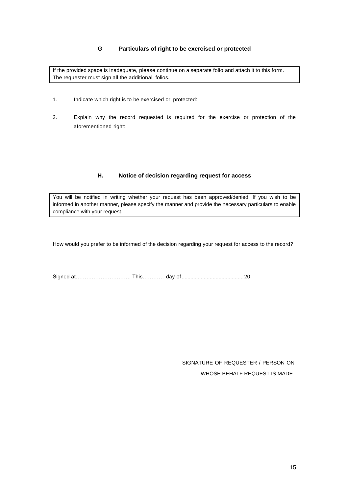#### **G Particulars of right to be exercised or protected**

If the provided space is inadequate, please continue on a separate folio and attach it to this form. The requester must sign all the additional folios.

- 1. Indicate which right is to be exercised or protected:
- 2. Explain why the record requested is required for the exercise or protection of the aforementioned right:

#### **H. Notice of decision regarding request for access**

You will be notified in writing whether your request has been approved/denied. If you wish to be informed in another manner, please specify the manner and provide the necessary particulars to enable compliance with your request.

How would you prefer to be informed of the decision regarding your request for access to the record?

Signed at…………………………. This………… day of..........................................20

SIGNATURE OF REQUESTER / PERSON ON WHOSE BEHALF REQUEST IS MADE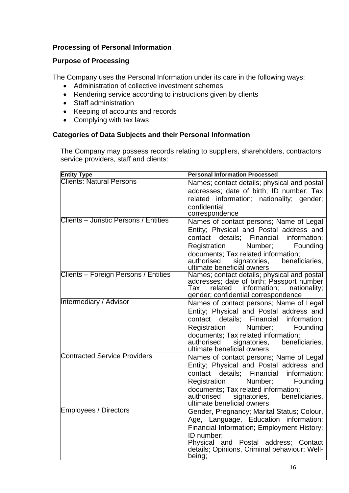#### **Processing of Personal Information**

#### **Purpose of Processing**

The Company uses the Personal Information under its care in the following ways:

- Administration of collective investment schemes
- Rendering service according to instructions given by clients
- Staff administration
- Keeping of accounts and records
- Complying with tax laws

#### **Categories of Data Subjects and their Personal Information**

The Company may possess records relating to suppliers, shareholders, contractors service providers, staff and clients:

| <b>Entity Type</b>                    | <b>Personal Information Processed</b>                                                                                                                                                                                                                                                           |
|---------------------------------------|-------------------------------------------------------------------------------------------------------------------------------------------------------------------------------------------------------------------------------------------------------------------------------------------------|
| <b>Clients: Natural Persons</b>       | Names; contact details; physical and postal<br>addresses; date of birth; ID number; Tax<br>related information; nationality; gender;<br>confidential<br>correspondence                                                                                                                          |
| Clients - Juristic Persons / Entities | Names of contact persons; Name of Legal<br>Entity; Physical and Postal address and<br>details; Financial<br>contact<br>information;<br>Number;<br>Founding<br>Registration<br>documents; Tax related information;<br>beneficiaries,<br>authorised<br>signatories,<br>ultimate beneficial owners |
| Clients - Foreign Persons / Entities  | Names; contact details; physical and postal<br>addresses; date of birth; Passport number<br>information; nationality;<br>related<br>Tax<br>gender; confidential correspondence                                                                                                                  |
| Intermediary / Advisor                | Names of contact persons; Name of Legal<br>Entity; Physical and Postal address and<br>details; Financial<br>information;<br>contact<br>Registration<br>Number;<br>Founding<br>documents; Tax related information;<br>beneficiaries,<br>authorised signatories,<br>ultimate beneficial owners    |
| <b>Contracted Service Providers</b>   | Names of contact persons; Name of Legal<br>Entity; Physical and Postal address and<br>contact details; Financial<br>information;<br>Registration<br>Number;<br>Founding<br>documents; Tax related information;<br>authorised signatories,<br>beneficiaries,<br>ultimate beneficial owners       |
| <b>Employees / Directors</b>          | Gender, Pregnancy; Marital Status; Colour,<br>Age, Language, Education information;<br>Financial Information; Employment History;<br>ID number:<br>Physical and Postal address; Contact<br>details; Opinions, Criminal-behaviour; Well-<br>being;                                               |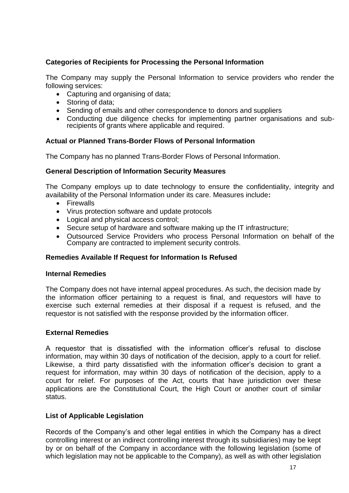#### **Categories of Recipients for Processing the Personal Information**

The Company may supply the Personal Information to service providers who render the following services:

- Capturing and organising of data;
- Storing of data;
- Sending of emails and other correspondence to donors and suppliers
- Conducting due diligence checks for implementing partner organisations and subrecipients of grants where applicable and required.

#### **Actual or Planned Trans-Border Flows of Personal Information**

The Company has no planned Trans-Border Flows of Personal Information.

#### **General Description of Information Security Measures**

The Company employs up to date technology to ensure the confidentiality, integrity and availability of the Personal Information under its care. Measures include**:**

- Firewalls
- Virus protection software and update protocols
- Logical and physical access control;
- Secure setup of hardware and software making up the IT infrastructure;
- Outsourced Service Providers who process Personal Information on behalf of the Company are contracted to implement security controls.

#### **Remedies Available If Request for Information Is Refused**

#### **Internal Remedies**

The Company does not have internal appeal procedures. As such, the decision made by the information officer pertaining to a request is final, and requestors will have to exercise such external remedies at their disposal if a request is refused, and the requestor is not satisfied with the response provided by the information officer.

#### **External Remedies**

A requestor that is dissatisfied with the information officer's refusal to disclose information, may within 30 days of notification of the decision, apply to a court for relief. Likewise, a third party dissatisfied with the information officer's decision to grant a request for information, may within 30 days of notification of the decision, apply to a court for relief. For purposes of the Act, courts that have jurisdiction over these applications are the Constitutional Court, the High Court or another court of similar status.

#### **List of Applicable Legislation**

Records of the Company's and other legal entities in which the Company has a direct controlling interest or an indirect controlling interest through its subsidiaries) may be kept by or on behalf of the Company in accordance with the following legislation (some of which legislation may not be applicable to the Company), as well as with other legislation